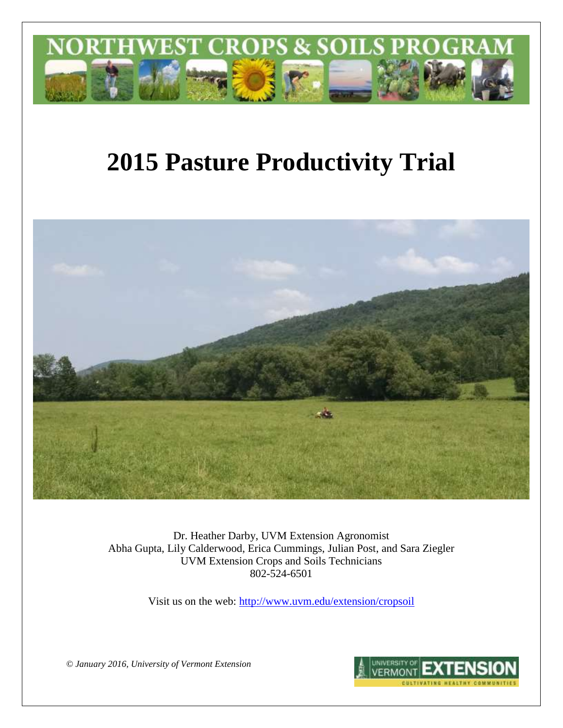

# **2015 Pasture Productivity Trial**



Dr. Heather Darby, UVM Extension Agronomist Abha Gupta, Lily Calderwood, Erica Cummings, Julian Post, and Sara Ziegler UVM Extension Crops and Soils Technicians 802-524-6501

Visit us on the web: <http://www.uvm.edu/extension/cropsoil>

*© January 2016, University of Vermont Extension*

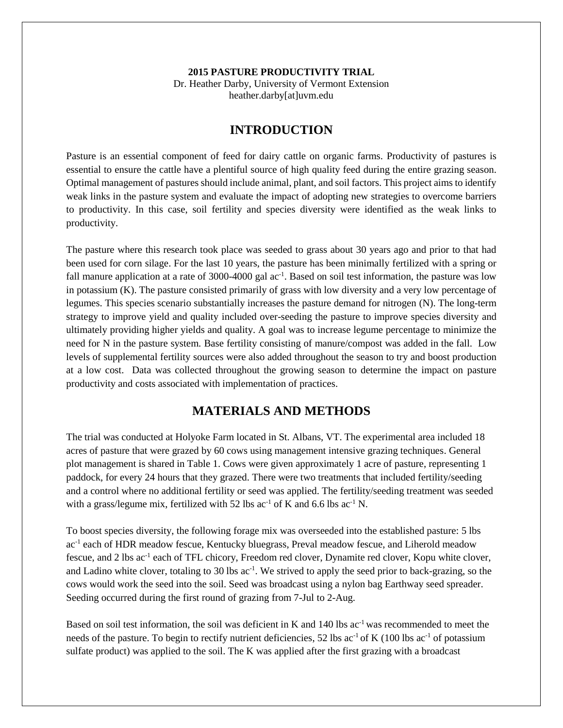#### **2015 PASTURE PRODUCTIVITY TRIAL** Dr. Heather Darby, University of Vermont Extension heather.darby[at]uvm.edu

## **INTRODUCTION**

Pasture is an essential component of feed for dairy cattle on organic farms. Productivity of pastures is essential to ensure the cattle have a plentiful source of high quality feed during the entire grazing season. Optimal management of pastures should include animal, plant, and soil factors. This project aims to identify weak links in the pasture system and evaluate the impact of adopting new strategies to overcome barriers to productivity. In this case, soil fertility and species diversity were identified as the weak links to productivity.

The pasture where this research took place was seeded to grass about 30 years ago and prior to that had been used for corn silage. For the last 10 years, the pasture has been minimally fertilized with a spring or fall manure application at a rate of 3000-4000 gal ac<sup>-1</sup>. Based on soil test information, the pasture was low in potassium (K). The pasture consisted primarily of grass with low diversity and a very low percentage of legumes. This species scenario substantially increases the pasture demand for nitrogen (N). The long-term strategy to improve yield and quality included over-seeding the pasture to improve species diversity and ultimately providing higher yields and quality. A goal was to increase legume percentage to minimize the need for N in the pasture system. Base fertility consisting of manure/compost was added in the fall. Low levels of supplemental fertility sources were also added throughout the season to try and boost production at a low cost. Data was collected throughout the growing season to determine the impact on pasture productivity and costs associated with implementation of practices.

## **MATERIALS AND METHODS**

The trial was conducted at Holyoke Farm located in St. Albans, VT. The experimental area included 18 acres of pasture that were grazed by 60 cows using management intensive grazing techniques. General plot management is shared in Table 1. Cows were given approximately 1 acre of pasture, representing 1 paddock, for every 24 hours that they grazed. There were two treatments that included fertility/seeding and a control where no additional fertility or seed was applied. The fertility/seeding treatment was seeded with a grass/legume mix, fertilized with 52 lbs  $ac^{-1}$  of K and 6.6 lbs  $ac^{-1}$  N.

To boost species diversity, the following forage mix was overseeded into the established pasture: 5 lbs ac<sup>-1</sup> each of HDR meadow fescue, Kentucky bluegrass, Preval meadow fescue, and Liherold meadow fescue, and 2 lbs ac<sup>-1</sup> each of TFL chicory, Freedom red clover, Dynamite red clover, Kopu white clover, and Ladino white clover, totaling to 30 lbs ac<sup>-1</sup>. We strived to apply the seed prior to back-grazing, so the cows would work the seed into the soil. Seed was broadcast using a nylon bag Earthway seed spreader. Seeding occurred during the first round of grazing from 7-Jul to 2-Aug.

Based on soil test information, the soil was deficient in K and 140 lbs ac<sup>-1</sup> was recommended to meet the needs of the pasture. To begin to rectify nutrient deficiencies, 52 lbs ac<sup>-1</sup> of K (100 lbs ac<sup>-1</sup> of potassium sulfate product) was applied to the soil. The K was applied after the first grazing with a broadcast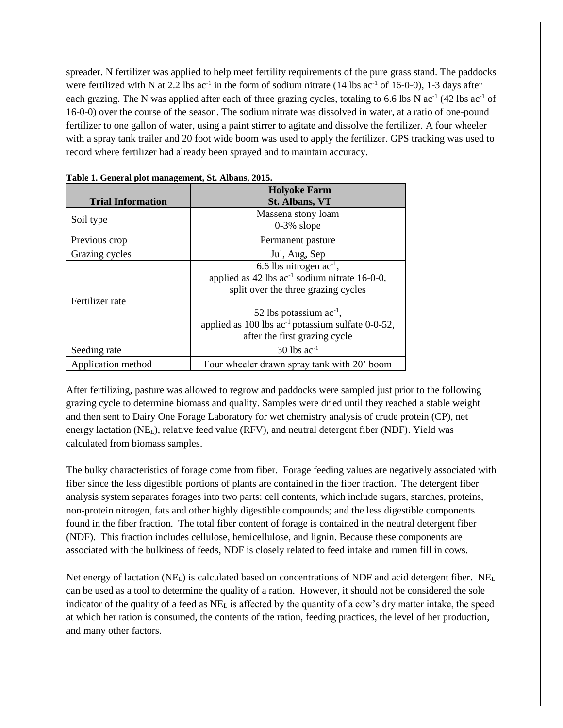spreader. N fertilizer was applied to help meet fertility requirements of the pure grass stand. The paddocks were fertilized with N at 2.2 lbs  $ac^{-1}$  in the form of sodium nitrate (14 lbs  $ac^{-1}$  of 16-0-0), 1-3 days after each grazing. The N was applied after each of three grazing cycles, totaling to 6.6 lbs N  $ac^{-1}$  (42 lbs  $ac^{-1}$  of 16-0-0) over the course of the season. The sodium nitrate was dissolved in water, at a ratio of one-pound fertilizer to one gallon of water, using a paint stirrer to agitate and dissolve the fertilizer. A four wheeler with a spray tank trailer and 20 foot wide boom was used to apply the fertilizer. GPS tracking was used to record where fertilizer had already been sprayed and to maintain accuracy.

|                          | <b>Holyoke Farm</b>                                             |  |  |
|--------------------------|-----------------------------------------------------------------|--|--|
| <b>Trial Information</b> | <b>St. Albans, VT</b>                                           |  |  |
| Soil type                | Massena stony loam                                              |  |  |
|                          | $0-3\%$ slope                                                   |  |  |
| Previous crop            | Permanent pasture                                               |  |  |
| Grazing cycles           | Jul, Aug, Sep                                                   |  |  |
|                          | 6.6 lbs nitrogen $ac^{-1}$ ,                                    |  |  |
|                          | applied as 42 lbs ac <sup>-1</sup> sodium nitrate 16-0-0,       |  |  |
|                          | split over the three grazing cycles                             |  |  |
| Fertilizer rate          |                                                                 |  |  |
|                          | 52 lbs potassium $ac^{-1}$ ,                                    |  |  |
|                          | applied as $100$ lbs ac <sup>-1</sup> potassium sulfate 0-0-52, |  |  |
|                          | after the first grazing cycle                                   |  |  |
| Seeding rate             | $30$ lbs ac <sup>-1</sup>                                       |  |  |
| Application method       | Four wheeler drawn spray tank with 20' boom                     |  |  |

|  | Table 1. General plot management, St. Albans, 2015. |  |  |
|--|-----------------------------------------------------|--|--|
|  |                                                     |  |  |

After fertilizing, pasture was allowed to regrow and paddocks were sampled just prior to the following grazing cycle to determine biomass and quality. Samples were dried until they reached a stable weight and then sent to Dairy One Forage Laboratory for wet chemistry analysis of crude protein (CP), net energy lactation (NEL), relative feed value (RFV), and neutral detergent fiber (NDF). Yield was calculated from biomass samples.

The bulky characteristics of forage come from fiber. Forage feeding values are negatively associated with fiber since the less digestible portions of plants are contained in the fiber fraction. The detergent fiber analysis system separates forages into two parts: cell contents, which include sugars, starches, proteins, non-protein nitrogen, fats and other highly digestible compounds; and the less digestible components found in the fiber fraction. The total fiber content of forage is contained in the neutral detergent fiber (NDF). This fraction includes cellulose, hemicellulose, and lignin. Because these components are associated with the bulkiness of feeds, NDF is closely related to feed intake and rumen fill in cows.

Net energy of lactation ( $NE<sub>L</sub>$ ) is calculated based on concentrations of NDF and acid detergent fiber. NE<sub>L</sub> can be used as a tool to determine the quality of a ration. However, it should not be considered the sole indicator of the quality of a feed as NE<sup>L</sup> is affected by the quantity of a cow's dry matter intake, the speed at which her ration is consumed, the contents of the ration, feeding practices, the level of her production, and many other factors.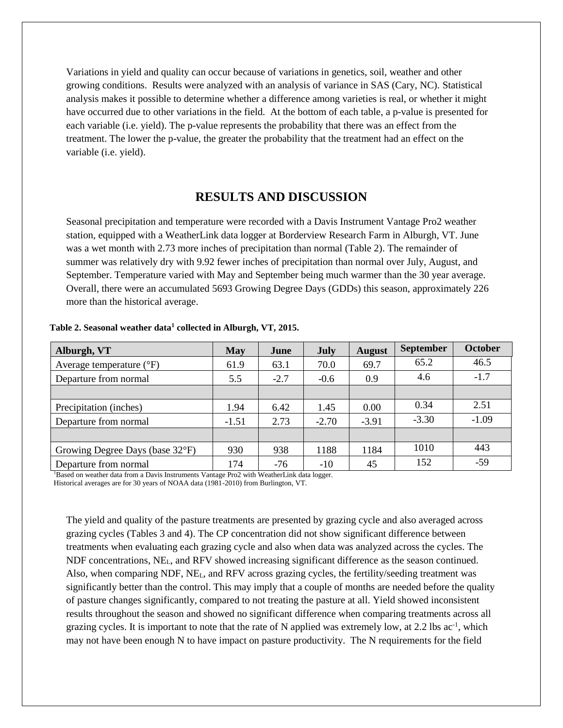Variations in yield and quality can occur because of variations in genetics, soil, weather and other growing conditions. Results were analyzed with an analysis of variance in SAS (Cary, NC). Statistical analysis makes it possible to determine whether a difference among varieties is real, or whether it might have occurred due to other variations in the field. At the bottom of each table, a p-value is presented for each variable (i.e. yield). The p-value represents the probability that there was an effect from the treatment. The lower the p-value, the greater the probability that the treatment had an effect on the variable (i.e. yield).

### **RESULTS AND DISCUSSION**

Seasonal precipitation and temperature were recorded with a Davis Instrument Vantage Pro2 weather station, equipped with a WeatherLink data logger at Borderview Research Farm in Alburgh, VT. June was a wet month with 2.73 more inches of precipitation than normal (Table 2). The remainder of summer was relatively dry with 9.92 fewer inches of precipitation than normal over July, August, and September. Temperature varied with May and September being much warmer than the 30 year average. Overall, there were an accumulated 5693 Growing Degree Days (GDDs) this season, approximately 226 more than the historical average.

| Alburgh, VT                         | May     | June   | July    | <b>August</b> | <b>September</b> | <b>October</b> |
|-------------------------------------|---------|--------|---------|---------------|------------------|----------------|
| Average temperature $({}^{\circ}F)$ | 61.9    | 63.1   | 70.0    | 69.7          | 65.2             | 46.5           |
| Departure from normal               | 5.5     | $-2.7$ | $-0.6$  | 0.9           | 4.6              | $-1.7$         |
|                                     |         |        |         |               |                  |                |
| Precipitation (inches)              | 1.94    | 6.42   | 1.45    | 0.00          | 0.34             | 2.51           |
| Departure from normal               | $-1.51$ | 2.73   | $-2.70$ | $-3.91$       | $-3.30$          | $-1.09$        |
|                                     |         |        |         |               |                  |                |
| Growing Degree Days (base 32°F)     | 930     | 938    | 1188    | 1184          | 1010             | 443            |
| Departure from normal               | 174     | $-76$  | $-10$   | 45            | 152              | $-59$          |

#### **Table 2. Seasonal weather data<sup>1</sup> collected in Alburgh, VT, 2015.**

<sup>1</sup>Based on weather data from a Davis Instruments Vantage Pro2 with WeatherLink data logger. Historical averages are for 30 years of NOAA data (1981-2010) from Burlington, VT.

The yield and quality of the pasture treatments are presented by grazing cycle and also averaged across grazing cycles (Tables 3 and 4). The CP concentration did not show significant difference between treatments when evaluating each grazing cycle and also when data was analyzed across the cycles. The NDF concentrations, NEL, and RFV showed increasing significant difference as the season continued. Also, when comparing NDF, NEL, and RFV across grazing cycles, the fertility/seeding treatment was significantly better than the control. This may imply that a couple of months are needed before the quality of pasture changes significantly, compared to not treating the pasture at all. Yield showed inconsistent results throughout the season and showed no significant difference when comparing treatments across all grazing cycles. It is important to note that the rate of N applied was extremely low, at  $2.2$  lbs ac<sup>-1</sup>, which may not have been enough N to have impact on pasture productivity. The N requirements for the field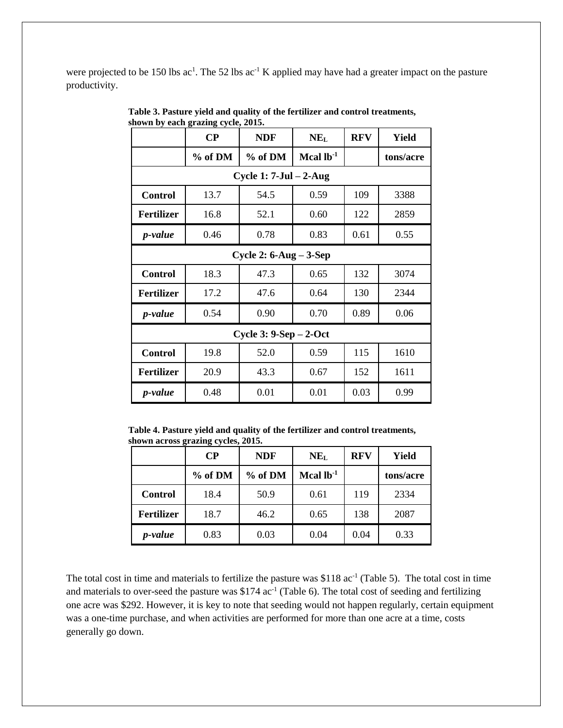were projected to be 150 lbs  $ac^1$ . The 52 lbs  $ac^1$  K applied may have had a greater impact on the pasture productivity.

|                        | nown by each grazing cycle, 2013.<br>$\bf CP$ | <b>NDF</b>                   | NE <sub>L</sub> | <b>RFV</b> | <b>Yield</b> |  |  |
|------------------------|-----------------------------------------------|------------------------------|-----------------|------------|--------------|--|--|
|                        | $%$ of DM                                     | % of DM                      | Mcal $lb^{-1}$  |            | tons/acre    |  |  |
|                        |                                               | Cycle 1: $7$ -Jul $- 2$ -Aug |                 |            |              |  |  |
| <b>Control</b>         | 13.7                                          | 54.5                         | 0.59            | 109        | 3388         |  |  |
| <b>Fertilizer</b>      | 16.8                                          | 52.1                         | 0.60            | 122        | 2859         |  |  |
| <i>p</i> -value        | 0.46                                          | 0.78                         | 0.83            | 0.61       | 0.55         |  |  |
|                        | Cycle 2: $6$ -Aug – $3$ -Sep                  |                              |                 |            |              |  |  |
| <b>Control</b>         | 18.3                                          | 47.3                         | 0.65            | 132        | 3074         |  |  |
| <b>Fertilizer</b>      | 17.2                                          | 47.6                         | 0.64            | 130        | 2344         |  |  |
| <i>p</i> -value        | 0.54                                          | 0.90                         | 0.70            | 0.89       | 0.06         |  |  |
| Cycle $3: 9-Sep-2-Oct$ |                                               |                              |                 |            |              |  |  |
| <b>Control</b>         | 19.8                                          | 52.0                         | 0.59            | 115        | 1610         |  |  |
| <b>Fertilizer</b>      | 20.9                                          | 43.3                         | 0.67            | 152        | 1611         |  |  |
| <i>p</i> -value        | 0.48                                          | 0.01                         | 0.01            | 0.03       | 0.99         |  |  |

**Table 3. Pasture yield and quality of the fertilizer and control treatments, shown by each grazing cycle, 2015.** 

**Table 4. Pasture yield and quality of the fertilizer and control treatments, shown across grazing cycles, 2015.** 

|                   | $\bf CP$ | <b>NDF</b> | NE <sub>L</sub> | <b>RFV</b> | Yield     |
|-------------------|----------|------------|-----------------|------------|-----------|
|                   | % of DM  | % of DM    | Mcal $lb^{-1}$  |            | tons/acre |
| <b>Control</b>    | 18.4     | 50.9       | 0.61            | 119        | 2334      |
| <b>Fertilizer</b> | 18.7     | 46.2       | 0.65            | 138        | 2087      |
| <i>p</i> -value   | 0.83     | 0.03       | 0.04            | 0.04       | 0.33      |

The total cost in time and materials to fertilize the pasture was \$118  $ac^{-1}$  (Table 5). The total cost in time and materials to over-seed the pasture was \$174  $ac^{-1}$  (Table 6). The total cost of seeding and fertilizing one acre was \$292. However, it is key to note that seeding would not happen regularly, certain equipment was a one-time purchase, and when activities are performed for more than one acre at a time, costs generally go down.